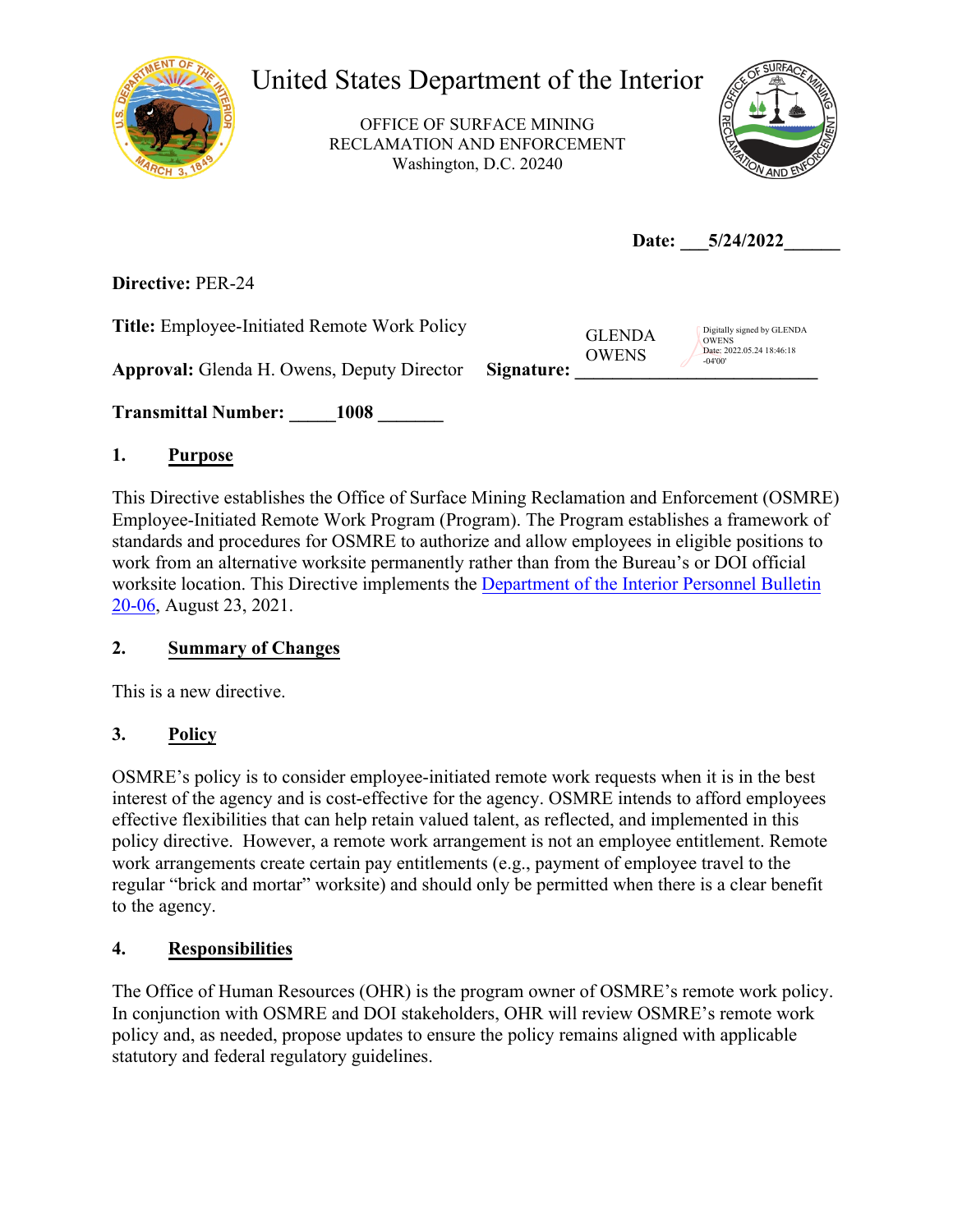

# United States Department of the Interior

OFFICE OF SURFACE MINING RECLAMATION AND ENFORCEMENT Washington, D.C. 20240



Date: 5/24/2022

**Directive:** PER-24

**Title:** Employee-Initiated Remote Work Policy

**Approval:** Glenda H. Owens, Deputy Director **Signature: \_\_\_\_\_\_\_\_\_\_\_\_\_\_\_\_\_\_\_\_\_\_\_\_\_\_** 

**Transmittal Number: \_\_\_\_\_1008 \_\_\_\_\_\_\_** 

# **1. Purpose**

This Directive establishes the Office of Surface Mining Reclamation and Enforcement (OSMRE) Employee-Initiated Remote Work Program (Program). The Program establishes a framework of standards and procedures for OSMRE to authorize and allow employees in eligible positions to work from an alternative worksite permanently rather than from the Bureau's or DOI official worksite location. This Directive implements the Department of the [Interior Personnel Bulletin](https://www.doi.gov/sites/doi.gov/files/elips/documents/pb-20-06-remote-work-policy-7.23.2021.pdf) [20-06,](https://www.doi.gov/sites/doi.gov/files/elips/documents/pb-20-06-remote-work-policy-7.23.2021.pdf) August 23, 2021.

# **2. Summary of Changes**

This is a new directive.

# **3. Policy**

OSMRE's policy is to consider employee-initiated remote work requests when it is in the best interest of the agency and is cost-effective for the agency. OSMRE intends to afford employees effective flexibilities that can help retain valued talent, as reflected, and implemented in this policy directive. However, a remote work arrangement is not an employee entitlement. Remote work arrangements create certain pay entitlements (e.g., payment of employee travel to the regular "brick and mortar" worksite) and should only be permitted when there is a clear benefit to the agency.

# **4. Responsibilities**

The Office of Human Resources (OHR) is the program owner of OSMRE's remote work policy. In conjunction with OSMRE and DOI stakeholders, OHR will review OSMRE's remote work policy and, as needed, propose updates to ensure the policy remains aligned with applicable statutory and federal regulatory guidelines.

GLENDA OWENS

Digitally signed by GLENDA OWENS Date: 2022.05.24 18:46:18 -04'00'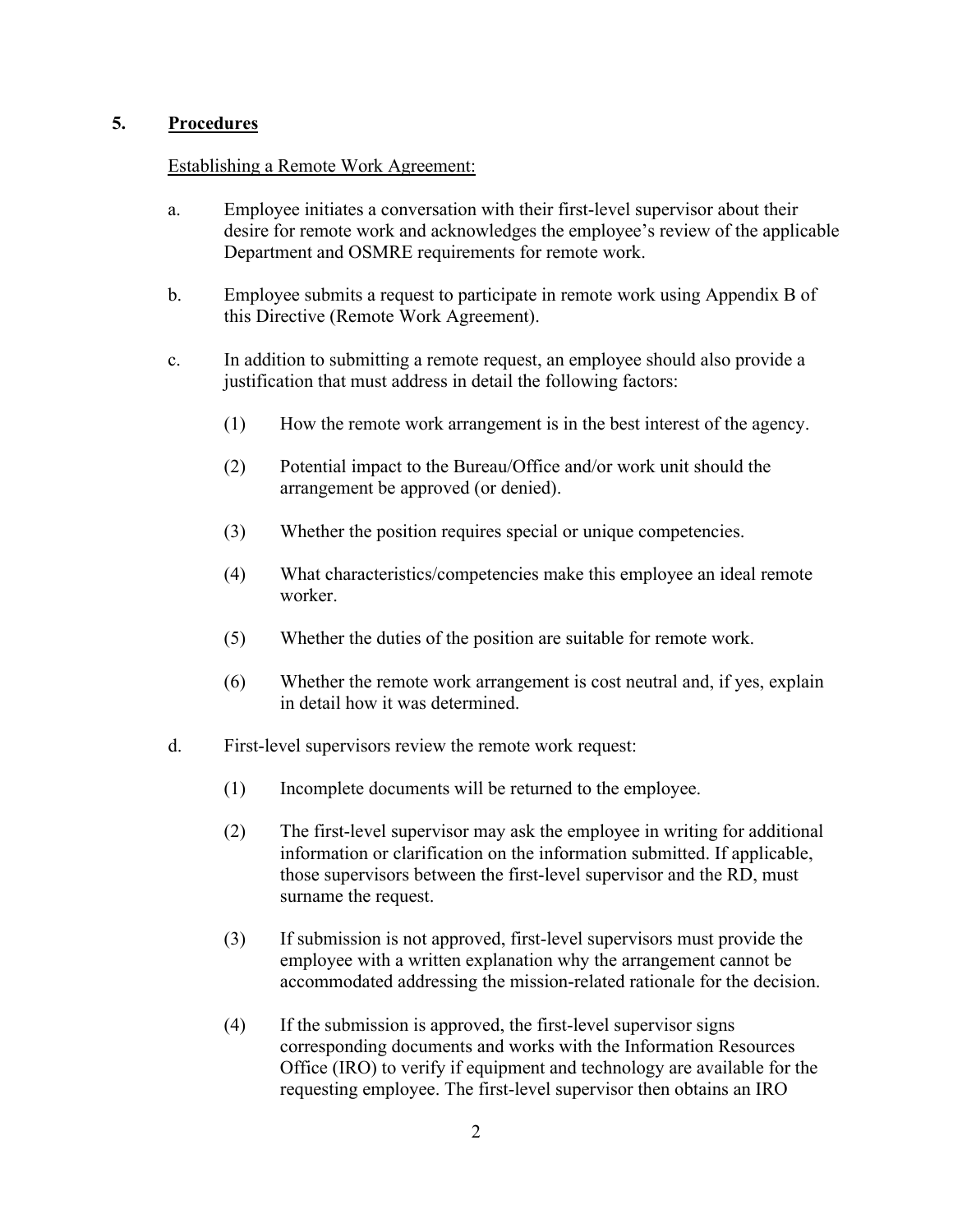#### **5. Procedures**

#### Establishing a Remote Work Agreement:

- a. Employee initiates a conversation with their first-level supervisor about their desire for remote work and acknowledges the employee's review of the applicable Department and OSMRE requirements for remote work.
- b. Employee submits a request to participate in remote work using Appendix B of this Directive (Remote Work Agreement).
- c. In addition to submitting a remote request, an employee should also provide a justification that must address in detail the following factors:
	- (1) How the remote work arrangement is in the best interest of the agency.
	- (2) Potential impact to the Bureau/Office and/or work unit should the arrangement be approved (or denied).
	- (3) Whether the position requires special or unique competencies.
	- (4) What characteristics/competencies make this employee an ideal remote worker.
	- (5) Whether the duties of the position are suitable for remote work.
	- (6) Whether the remote work arrangement is cost neutral and, if yes, explain in detail how it was determined.
- d. First-level supervisors review the remote work request:
	- (1) Incomplete documents will be returned to the employee.
	- (2) The first-level supervisor may ask the employee in writing for additional information or clarification on the information submitted. If applicable, those supervisors between the first-level supervisor and the RD, must surname the request.
	- (3) If submission is not approved, first-level supervisors must provide the employee with a written explanation why the arrangement cannot be accommodated addressing the mission-related rationale for the decision.
	- (4) If the submission is approved, the first-level supervisor signs corresponding documents and works with the Information Resources Office (IRO) to verify if equipment and technology are available for the requesting employee. The first-level supervisor then obtains an IRO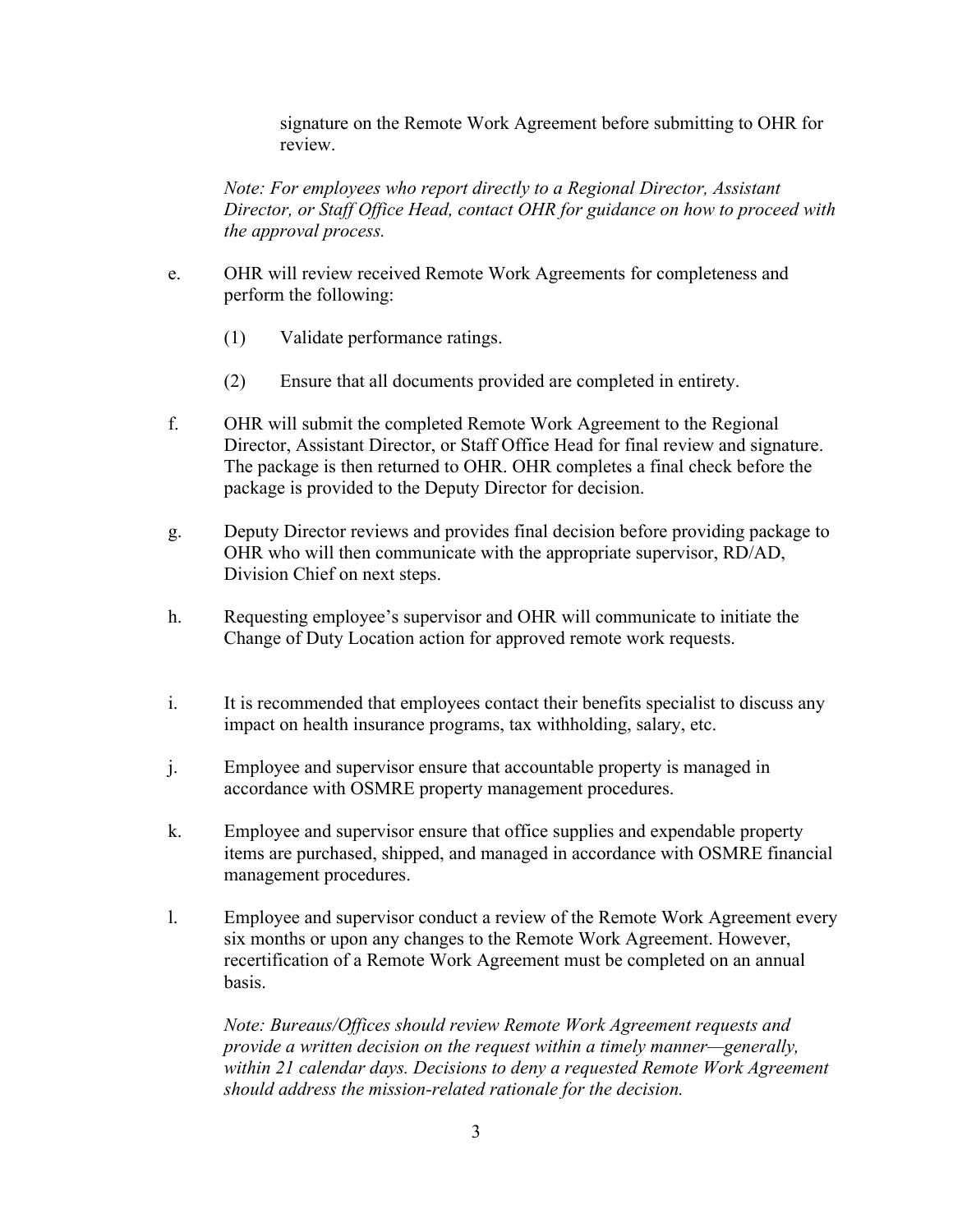signature on the Remote Work Agreement before submitting to OHR for review.

*Note: For employees who report directly to a Regional Director, Assistant Director, or Staff Office Head, contact OHR for guidance on how to proceed with the approval process.*

- e. OHR will review received Remote Work Agreements for completeness and perform the following:
	- (1) Validate performance ratings.
	- (2) Ensure that all documents provided are completed in entirety.
- f. OHR will submit the completed Remote Work Agreement to the Regional Director, Assistant Director, or Staff Office Head for final review and signature. The package is then returned to OHR. OHR completes a final check before the package is provided to the Deputy Director for decision.
- g. Deputy Director reviews and provides final decision before providing package to OHR who will then communicate with the appropriate supervisor, RD/AD, Division Chief on next steps.
- h. Requesting employee's supervisor and OHR will communicate to initiate the Change of Duty Location action for approved remote work requests.
- i. It is recommended that employees contact their benefits specialist to discuss any impact on health insurance programs, tax withholding, salary, etc.
- j. Employee and supervisor ensure that accountable property is managed in accordance with OSMRE property management procedures.
- k. Employee and supervisor ensure that office supplies and expendable property items are purchased, shipped, and managed in accordance with OSMRE financial management procedures.
- l. Employee and supervisor conduct a review of the Remote Work Agreement every six months or upon any changes to the Remote Work Agreement. However, recertification of a Remote Work Agreement must be completed on an annual basis.

*Note: Bureaus/Offices should review Remote Work Agreement requests and provide a written decision on the request within a timely manner—generally, within 21 calendar days. Decisions to deny a requested Remote Work Agreement should address the mission-related rationale for the decision.*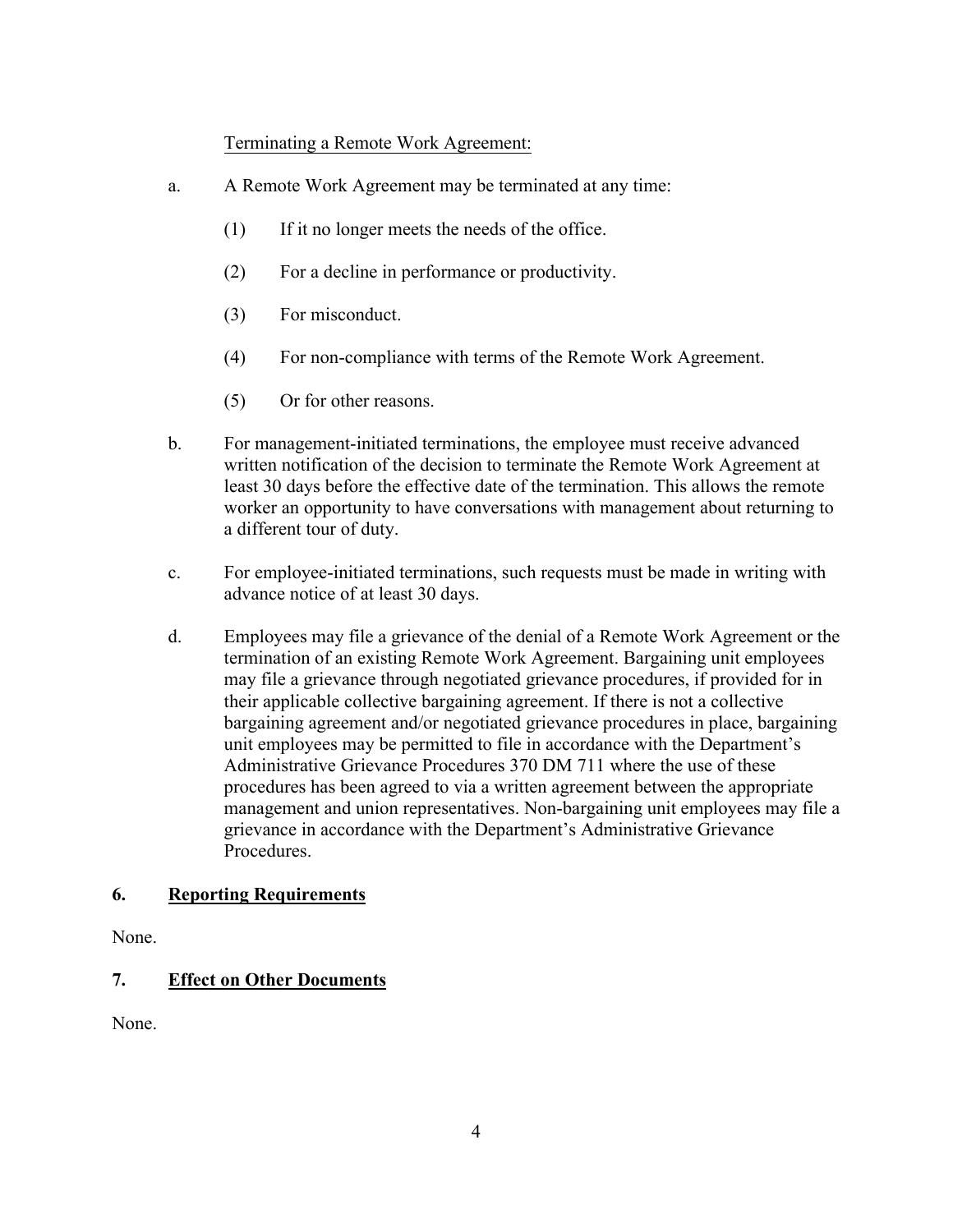#### Terminating a Remote Work Agreement:

- a. A Remote Work Agreement may be terminated at any time:
	- (1) If it no longer meets the needs of the office.
	- (2) For a decline in performance or productivity.
	- (3) For misconduct.
	- (4) For non-compliance with terms of the Remote Work Agreement.
	- (5) Or for other reasons.
- b. For management-initiated terminations, the employee must receive advanced written notification of the decision to terminate the Remote Work Agreement at least 30 days before the effective date of the termination. This allows the remote worker an opportunity to have conversations with management about returning to a different tour of duty.
- c. For employee-initiated terminations, such requests must be made in writing with advance notice of at least 30 days.
- d. Employees may file a grievance of the denial of a Remote Work Agreement or the termination of an existing Remote Work Agreement. Bargaining unit employees may file a grievance through negotiated grievance procedures, if provided for in their applicable collective bargaining agreement. If there is not a collective bargaining agreement and/or negotiated grievance procedures in place, bargaining unit employees may be permitted to file in accordance with the Department's Administrative Grievance Procedures 370 DM 711 where the use of these procedures has been agreed to via a written agreement between the appropriate management and union representatives. Non-bargaining unit employees may file a grievance in accordance with the Department's Administrative Grievance **Procedures**

### **6. Reporting Requirements**

None.

## **7. Effect on Other Documents**

None.